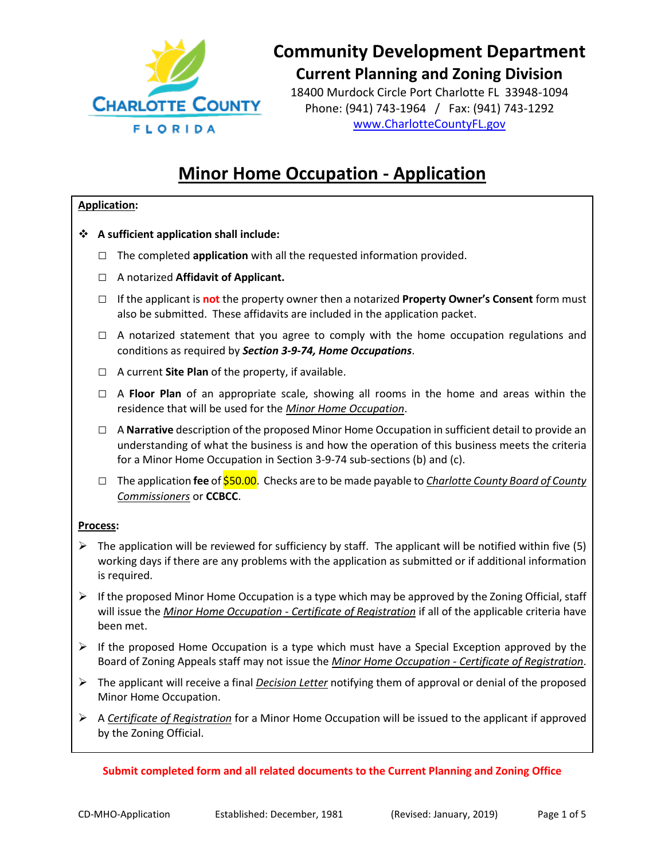

18400 Murdock Circle Port Charlotte FL 33948-1094 Phone: (941) 743-1964 / Fax: (941) 743-1292 [www.CharlotteCountyFL.gov](http://www.charlottecountyfl.gov/)

# **Minor Home Occupation - Application**

#### **Application:**

- **A sufficient application shall include:** 
	- **□** The completed **application** with all the requested information provided.
	- □ A notarized **Affidavit of Applicant.**
	- □ If the applicant is **not** the property owner then a notarized **Property Owner's Consent** form must also be submitted. These affidavits are included in the application packet.
	- $\Box$  A notarized statement that you agree to comply with the home occupation regulations and conditions as required by *Section 3-9-74, Home Occupations*.
	- □ A current **Site Plan** of the property, if available.
	- □ A **Floor Plan** of an appropriate scale, showing all rooms in the home and areas within the residence that will be used for the *Minor Home Occupation*.
	- □ A **Narrative** description of the proposed Minor Home Occupation in sufficient detail to provide an understanding of what the business is and how the operation of this business meets the criteria for a Minor Home Occupation in Section 3-9-74 sub-sections (b) and (c).
	- □ The application **fee** of \$50.00. Checks are to be made payable to *Charlotte County Board of County Commissioners* or **CCBCC**.

#### **Process:**

- $\triangleright$  The application will be reviewed for sufficiency by staff. The applicant will be notified within five (5) working days if there are any problems with the application as submitted or if additional information is required.
- $\triangleright$  If the proposed Minor Home Occupation is a type which may be approved by the Zoning Official, staff will issue the *Minor Home Occupation - Certificate of Registration* if all of the applicable criteria have been met.
- $\triangleright$  If the proposed Home Occupation is a type which must have a Special Exception approved by the Board of Zoning Appeals staff may not issue the *Minor Home Occupation - Certificate of Registration*.
- The applicant will receive a final *Decision Letter* notifying them of approval or denial of the proposed Minor Home Occupation.
- A *Certificate of Registration* for a Minor Home Occupation will be issued to the applicant if approved by the Zoning Official.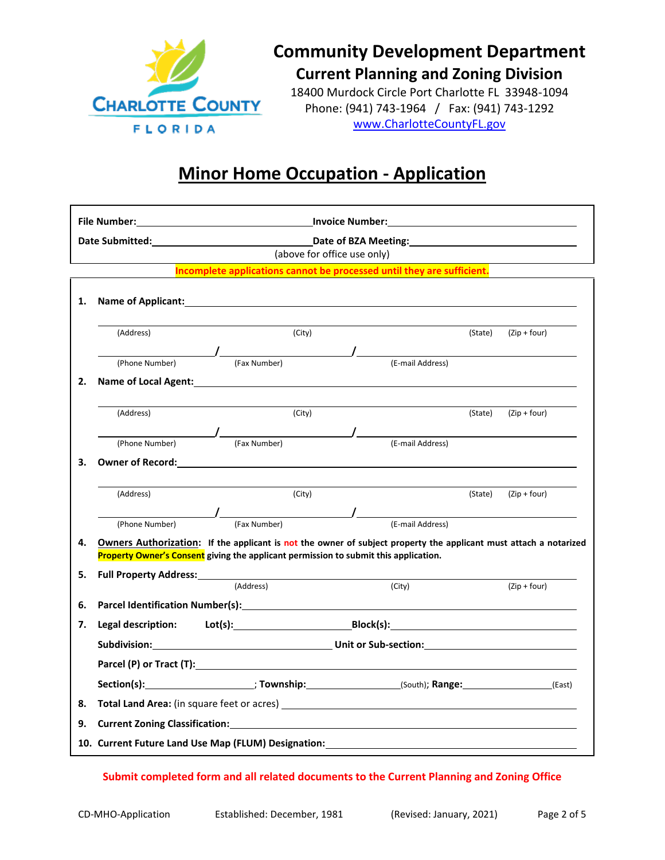

18400 Murdock Circle Port Charlotte FL 33948-1094 Phone: (941) 743-1964 / Fax: (941) 743-1292 [www.CharlotteCountyFL.gov](http://www.charlottecountyfl.gov/)

## **Minor Home Occupation - Application**

|    |                                                                                                                                                                                                                                           | Date Submitted: National Contract Contract Contract Date of BZA Meeting: National Contract Contract Contract Contract Contract Contract Contract Contract Contract Contract Contract Contract Contract Contract Contract Contr |                             |  |                                                             |         |                          |  |
|----|-------------------------------------------------------------------------------------------------------------------------------------------------------------------------------------------------------------------------------------------|--------------------------------------------------------------------------------------------------------------------------------------------------------------------------------------------------------------------------------|-----------------------------|--|-------------------------------------------------------------|---------|--------------------------|--|
|    |                                                                                                                                                                                                                                           |                                                                                                                                                                                                                                | (above for office use only) |  |                                                             |         |                          |  |
|    | Incomplete applications cannot be processed until they are sufficient.                                                                                                                                                                    |                                                                                                                                                                                                                                |                             |  |                                                             |         |                          |  |
| 1. | Name of Applicant: Name of Applicant and Applicant and Applicant and Applicant and Applicant and Applicant and Applicant and Applicant and Applicant and Applicant and Applicant and Applicant and Applicant and Applicant and            |                                                                                                                                                                                                                                |                             |  |                                                             |         |                          |  |
|    | (Address)                                                                                                                                                                                                                                 |                                                                                                                                                                                                                                | (City)                      |  |                                                             | (State) | $(Zip + four)$           |  |
|    | (Phone Number)                                                                                                                                                                                                                            |                                                                                                                                                                                                                                |                             |  |                                                             |         |                          |  |
| 2. |                                                                                                                                                                                                                                           |                                                                                                                                                                                                                                |                             |  |                                                             |         |                          |  |
|    |                                                                                                                                                                                                                                           |                                                                                                                                                                                                                                |                             |  |                                                             |         |                          |  |
|    | (Address)                                                                                                                                                                                                                                 |                                                                                                                                                                                                                                | (City)                      |  |                                                             | (State) | $(Zip + four)$           |  |
|    |                                                                                                                                                                                                                                           |                                                                                                                                                                                                                                |                             |  | (Phone Number) (Fax Number) (Fax Number)                    |         |                          |  |
|    |                                                                                                                                                                                                                                           |                                                                                                                                                                                                                                |                             |  |                                                             |         |                          |  |
| 3. | Owner of Record: <u>All and the contract of the contract of the contract of the contract of the contract of the contract of the contract of the contract of the contract of the contract of the contract of the contract of the </u>      |                                                                                                                                                                                                                                |                             |  |                                                             |         |                          |  |
|    |                                                                                                                                                                                                                                           |                                                                                                                                                                                                                                |                             |  |                                                             |         |                          |  |
|    | (Address)                                                                                                                                                                                                                                 |                                                                                                                                                                                                                                | (City)                      |  |                                                             |         | $(State)$ $(Zip + four)$ |  |
|    |                                                                                                                                                                                                                                           |                                                                                                                                                                                                                                |                             |  | (Phone Number) (Fax Number) (Example 2014) (E-mail Address) |         |                          |  |
| 4. |                                                                                                                                                                                                                                           |                                                                                                                                                                                                                                |                             |  |                                                             |         |                          |  |
|    | Owners Authorization: If the applicant is not the owner of subject property the applicant must attach a notarized<br>Property Owner's Consent giving the applicant permission to submit this application.                                 |                                                                                                                                                                                                                                |                             |  |                                                             |         |                          |  |
| 5. |                                                                                                                                                                                                                                           |                                                                                                                                                                                                                                |                             |  |                                                             |         |                          |  |
|    |                                                                                                                                                                                                                                           | (Address)                                                                                                                                                                                                                      |                             |  | (City)                                                      |         | $(Zip + four)$           |  |
| 6. | Parcel Identification Number(s): Notice that the control of the control of the control of the control of the control of the control of the control of the control of the control of the control of the control of the control             |                                                                                                                                                                                                                                |                             |  |                                                             |         |                          |  |
| 7. | Legal description: Lot(s): Legal description: Lot(s): Research Management Point Research Management Point Point                                                                                                                           |                                                                                                                                                                                                                                |                             |  |                                                             |         |                          |  |
|    |                                                                                                                                                                                                                                           |                                                                                                                                                                                                                                |                             |  |                                                             |         |                          |  |
|    | Parcel (P) or Tract (T): Note that the set of the set of the set of the set of the set of the set of the set of the set of the set of the set of the set of the set of the set of the set of the set of the set of the set of             |                                                                                                                                                                                                                                |                             |  |                                                             |         |                          |  |
|    | Section(s): 10Wnship: (South); Range: (East)                                                                                                                                                                                              |                                                                                                                                                                                                                                |                             |  |                                                             |         |                          |  |
| 8. | <b>Total Land Area:</b> (in square feet or acres) <b>All Area and Area and Area and Area and Area and Area and Area and Area and Area and Area and Area and Area and Area and Area and Area and Area and Area and Area and Area and A</b> |                                                                                                                                                                                                                                |                             |  |                                                             |         |                          |  |
| 9. | <b>Current Zoning Classification: Carrier and Contract Contract Contract Contract Contract Contract Contract Contract Contract Contract Contract Contract Contract Contract Contract Contract Contract Contract Contract Contr</b>        |                                                                                                                                                                                                                                |                             |  |                                                             |         |                          |  |
|    | 10. Current Future Land Use Map (FLUM) Designation:                                                                                                                                                                                       |                                                                                                                                                                                                                                |                             |  |                                                             |         |                          |  |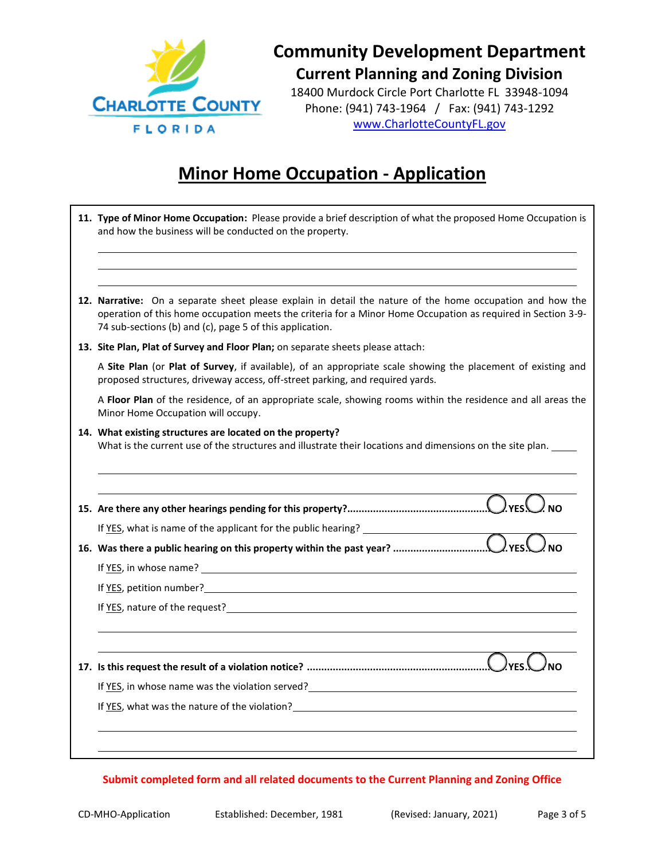

18400 Murdock Circle Port Charlotte FL 33948-1094 Phone: (941) 743-1964 / Fax: (941) 743-1292 [www.CharlotteCountyFL.gov](http://www.charlottecountyfl.gov/)

### **Minor Home Occupation - Application**

| 12. Narrative: On a separate sheet please explain in detail the nature of the home occupation and how the<br>operation of this home occupation meets the criteria for a Minor Home Occupation as required in Section 3-9-<br>74 sub-sections (b) and (c), page 5 of this application. |
|---------------------------------------------------------------------------------------------------------------------------------------------------------------------------------------------------------------------------------------------------------------------------------------|
| 13. Site Plan, Plat of Survey and Floor Plan; on separate sheets please attach:                                                                                                                                                                                                       |
| A Site Plan (or Plat of Survey, if available), of an appropriate scale showing the placement of existing and<br>proposed structures, driveway access, off-street parking, and required yards.                                                                                         |
| A Floor Plan of the residence, of an appropriate scale, showing rooms within the residence and all areas the<br>Minor Home Occupation will occupy.                                                                                                                                    |
| 14. What existing structures are located on the property?<br>What is the current use of the structures and illustrate their locations and dimensions on the site plan. ____                                                                                                           |
|                                                                                                                                                                                                                                                                                       |
|                                                                                                                                                                                                                                                                                       |
| If YES, what is name of the applicant for the public hearing? __________________                                                                                                                                                                                                      |
|                                                                                                                                                                                                                                                                                       |
|                                                                                                                                                                                                                                                                                       |
|                                                                                                                                                                                                                                                                                       |
|                                                                                                                                                                                                                                                                                       |
|                                                                                                                                                                                                                                                                                       |
|                                                                                                                                                                                                                                                                                       |
| If YES, in whose name was the violation served?<br><u>If YES</u> , in whose name was the violation served?                                                                                                                                                                            |
| If YES, what was the nature of the violation?<br>The matter of the violation?                                                                                                                                                                                                         |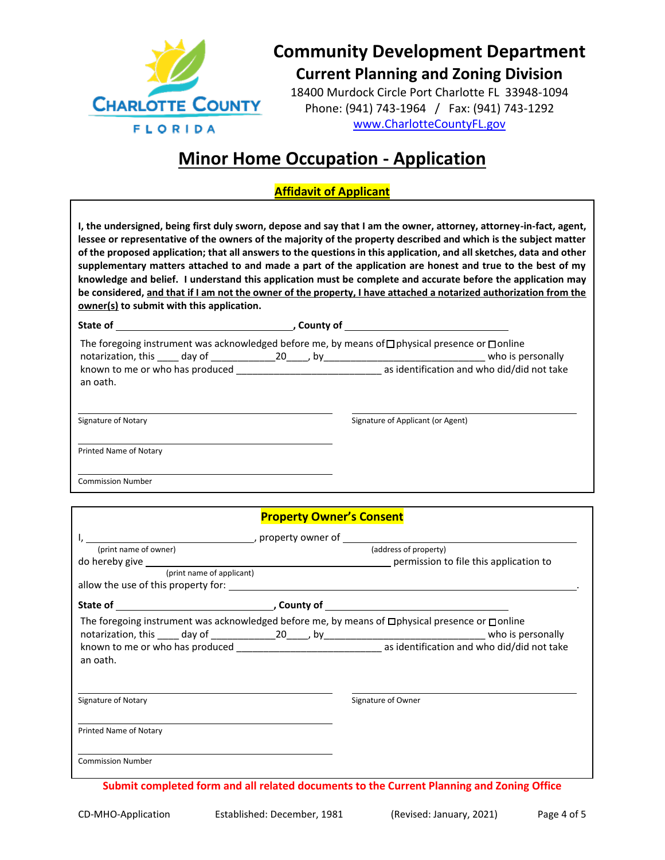

18400 Murdock Circle Port Charlotte FL 33948-1094 Phone: (941) 743-1964 / Fax: (941) 743-1292 [www.CharlotteCountyFL.gov](http://www.charlottecountyfl.gov/)

## **Minor Home Occupation - Application**

#### **Affidavit of Applicant**

**I, the undersigned, being first duly sworn, depose and say that I am the owner, attorney, attorney-in-fact, agent, lessee or representative of the owners of the majority of the property described and which is the subject matter of the proposed application; that all answers to the questions in this application, and all sketches, data and other supplementary matters attached to and made a part of the application are honest and true to the best of my knowledge and belief. I understand this application must be complete and accurate before the application may be considered, and that if I am not the owner of the property, I have attached a notarized authorization from the owner(s) to submit with this application.**

| State of                                    |  | County of |                                                                                                                                 |
|---------------------------------------------|--|-----------|---------------------------------------------------------------------------------------------------------------------------------|
| notarization, this day of 20                |  | bv        | The foregoing instrument was acknowledged before me, by means of $\Box$ physical presence or $\Box$ online<br>who is personally |
| known to me or who has produced<br>an oath. |  |           | as identification and who did/did not take                                                                                      |
| .                                           |  |           | .                                                                                                                               |

Signature of Notary Signature of Applicant (or Agent) Signature of Applicant (or Agent)

Printed Name of Notary

Commission Number

|                           | <b>Property Owner's Consent</b> |                                                                                                 |  |  |
|---------------------------|---------------------------------|-------------------------------------------------------------------------------------------------|--|--|
|                           |                                 |                                                                                                 |  |  |
| (print name of owner)     |                                 | (address of property)                                                                           |  |  |
|                           |                                 |                                                                                                 |  |  |
| (print name of applicant) |                                 |                                                                                                 |  |  |
|                           |                                 |                                                                                                 |  |  |
|                           |                                 |                                                                                                 |  |  |
|                           |                                 | The foregoing instrument was acknowledged before me, by means of □physical presence or □ online |  |  |
|                           |                                 |                                                                                                 |  |  |
| an oath.                  |                                 |                                                                                                 |  |  |
| Signature of Notary       |                                 | Signature of Owner                                                                              |  |  |
| Printed Name of Notary    |                                 |                                                                                                 |  |  |
| <b>Commission Number</b>  |                                 |                                                                                                 |  |  |